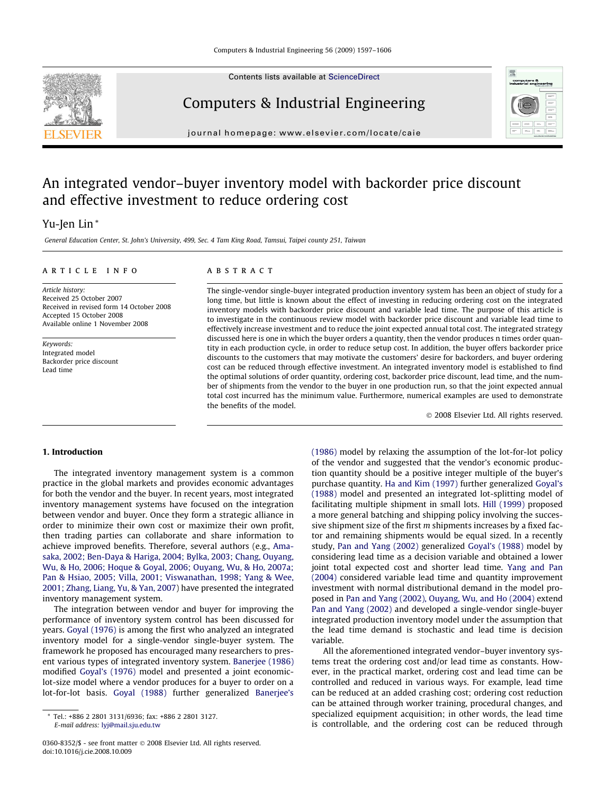Contents lists available at [ScienceDirect](http://www.sciencedirect.com/science/journal/03608352)

# Computers & Industrial Engineering

journal homepage: [www.elsevier.com/locate/caie](http://www.elsevier.com/locate/caie)

## An integrated vendor–buyer inventory model with backorder price discount and effective investment to reduce ordering cost

### Yu-Jen Lin \*

General Education Center, St. John's University, 499, Sec. 4 Tam King Road, Tamsui, Taipei county 251, Taiwan

#### article info

Article history: Received 25 October 2007 Received in revised form 14 October 2008 Accepted 15 October 2008 Available online 1 November 2008

Keywords: Integrated model Backorder price discount Lead time

#### **ABSTRACT**

The single-vendor single-buyer integrated production inventory system has been an object of study for a long time, but little is known about the effect of investing in reducing ordering cost on the integrated inventory models with backorder price discount and variable lead time. The purpose of this article is to investigate in the continuous review model with backorder price discount and variable lead time to effectively increase investment and to reduce the joint expected annual total cost. The integrated strategy discussed here is one in which the buyer orders a quantity, then the vendor produces n times order quantity in each production cycle, in order to reduce setup cost. In addition, the buyer offers backorder price discounts to the customers that may motivate the customers' desire for backorders, and buyer ordering cost can be reduced through effective investment. An integrated inventory model is established to find the optimal solutions of order quantity, ordering cost, backorder price discount, lead time, and the number of shipments from the vendor to the buyer in one production run, so that the joint expected annual total cost incurred has the minimum value. Furthermore, numerical examples are used to demonstrate the benefits of the model.

- 2008 Elsevier Ltd. All rights reserved.

#### 1. Introduction

The integrated inventory management system is a common practice in the global markets and provides economic advantages for both the vendor and the buyer. In recent years, most integrated inventory management systems have focused on the integration between vendor and buyer. Once they form a strategic alliance in order to minimize their own cost or maximize their own profit, then trading parties can collaborate and share information to achieve improved benefits. Therefore, several authors (e.g., [Ama](#page--1-0)[saka, 2002; Ben-Daya & Hariga, 2004; Bylka, 2003; Chang, Ouyang,](#page--1-0) [Wu, & Ho, 2006; Hoque & Goyal, 2006; Ouyang, Wu, & Ho, 2007a;](#page--1-0) [Pan & Hsiao, 2005; Villa, 2001; Viswanathan, 1998; Yang & Wee,](#page--1-0) [2001; Zhang, Liang, Yu, & Yan, 2007](#page--1-0)) have presented the integrated inventory management system.

The integration between vendor and buyer for improving the performance of inventory system control has been discussed for years. [Goyal \(1976\)](#page--1-0) is among the first who analyzed an integrated inventory model for a single-vendor single-buyer system. The framework he proposed has encouraged many researchers to present various types of integrated inventory system. [Banerjee \(1986\)](#page--1-0) modified [Goyal's \(1976\)](#page--1-0) model and presented a joint economiclot-size model where a vendor produces for a buyer to order on a lot-for-lot basis. [Goyal \(1988\)](#page--1-0) further generalized [Banerjee's](#page--1-0) [\(1986\)](#page--1-0) model by relaxing the assumption of the lot-for-lot policy of the vendor and suggested that the vendor's economic production quantity should be a positive integer multiple of the buyer's purchase quantity. [Ha and Kim \(1997\)](#page--1-0) further generalized [Goyal's](#page--1-0) [\(1988\)](#page--1-0) model and presented an integrated lot-splitting model of facilitating multiple shipment in small lots. [Hill \(1999\)](#page--1-0) proposed a more general batching and shipping policy involving the successive shipment size of the first m shipments increases by a fixed factor and remaining shipments would be equal sized. In a recently study, [Pan and Yang \(2002\)](#page--1-0) generalized [Goyal's \(1988\)](#page--1-0) model by considering lead time as a decision variable and obtained a lower joint total expected cost and shorter lead time. [Yang and Pan](#page--1-0) [\(2004\)](#page--1-0) considered variable lead time and quantity improvement investment with normal distributional demand in the model proposed in [Pan and Yang \(2002\), Ouyang, Wu, and Ho \(2004\)](#page--1-0) extend [Pan and Yang \(2002\)](#page--1-0) and developed a single-vendor single-buyer integrated production inventory model under the assumption that the lead time demand is stochastic and lead time is decision variable.

All the aforementioned integrated vendor–buyer inventory systems treat the ordering cost and/or lead time as constants. However, in the practical market, ordering cost and lead time can be controlled and reduced in various ways. For example, lead time can be reduced at an added crashing cost; ordering cost reduction can be attained through worker training, procedural changes, and specialized equipment acquisition; in other words, the lead time is controllable, and the ordering cost can be reduced through





<sup>\*</sup> Tel.: +886 2 2801 3131/6936; fax: +886 2 2801 3127. E-mail address: [lyj@mail.sju.edu.tw](mailto:lyj@mail.sju.edu.tw)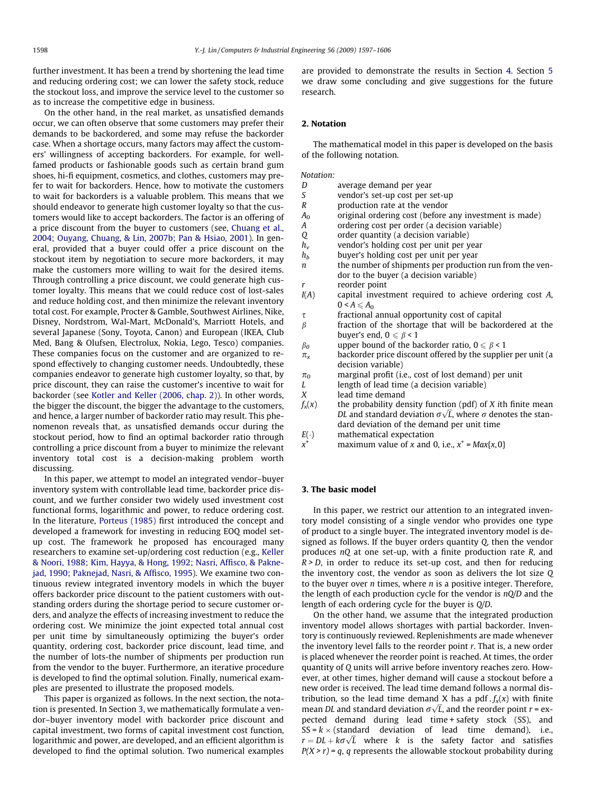further investment. It has been a trend by shortening the lead time and reducing ordering cost; we can lower the safety stock, reduce the stockout loss, and improve the service level to the customer so as to increase the competitive edge in business.

On the other hand, in the real market, as unsatisfied demands occur, we can often observe that some customers may prefer their demands to be backordered, and some may refuse the backorder case. When a shortage occurs, many factors may affect the customers' willingness of accepting backorders. For example, for wellfamed products or fashionable goods such as certain brand gum shoes, hi-fi equipment, cosmetics, and clothes, customers may prefer to wait for backorders. Hence, how to motivate the customers to wait for backorders is a valuable problem. This means that we should endeavor to generate high customer loyalty so that the customers would like to accept backorders. The factor is an offering of a price discount from the buyer to customers (see, [Chuang et al.,](#page--1-0) [2004; Ouyang, Chuang, & Lin, 2007b; Pan & Hsiao, 2001\)](#page--1-0). In general, provided that a buyer could offer a price discount on the stockout item by negotiation to secure more backorders, it may make the customers more willing to wait for the desired items. Through controlling a price discount, we could generate high customer loyalty. This means that we could reduce cost of lost-sales and reduce holding cost, and then minimize the relevant inventory total cost. For example, Procter & Gamble, Southwest Airlines, Nike, Disney, Nordstrom, Wal-Mart, McDonald's, Marriott Hotels, and several Japanese (Sony, Toyota, Canon) and European (IKEA, Club Med, Bang & Olufsen, Electrolux, Nokia, Lego, Tesco) companies. These companies focus on the customer and are organized to respond effectively to changing customer needs. Undoubtedly, these companies endeavor to generate high customer loyalty, so that, by price discount, they can raise the customer's incentive to wait for backorder (see [Kotler and Keller \(2006, chap. 2\)](#page--1-0)). In other words, the bigger the discount, the bigger the advantage to the customers, and hence, a larger number of backorder ratio may result. This phenomenon reveals that, as unsatisfied demands occur during the stockout period, how to find an optimal backorder ratio through controlling a price discount from a buyer to minimize the relevant inventory total cost is a decision-making problem worth discussing.

In this paper, we attempt to model an integrated vendor–buyer inventory system with controllable lead time, backorder price discount, and we further consider two widely used investment cost functional forms, logarithmic and power, to reduce ordering cost. In the literature, [Porteus \(1985\)](#page--1-0) first introduced the concept and developed a framework for investing in reducing EOQ model setup cost. The framework he proposed has encouraged many researchers to examine set-up/ordering cost reduction (e.g., [Keller](#page--1-0) [& Noori, 1988; Kim, Hayya, & Hong, 1992; Nasri, Affisco, & Pakne](#page--1-0)[jad, 1990; Paknejad, Nasri, & Affisco, 1995](#page--1-0)). We examine two continuous review integrated inventory models in which the buyer offers backorder price discount to the patient customers with outstanding orders during the shortage period to secure customer orders, and analyze the effects of increasing investment to reduce the ordering cost. We minimize the joint expected total annual cost per unit time by simultaneously optimizing the buyer's order quantity, ordering cost, backorder price discount, lead time, and the number of lots-the number of shipments per production run from the vendor to the buyer. Furthermore, an iterative procedure is developed to find the optimal solution. Finally, numerical examples are presented to illustrate the proposed models.

This paper is organized as follows. In the next section, the notation is presented. In Section 3, we mathematically formulate a vendor–buyer inventory model with backorder price discount and capital investment, two forms of capital investment cost function, logarithmic and power, are developed, and an efficient algorithm is developed to find the optimal solution. Two numerical examples are provided to demonstrate the results in Section [4.](#page--1-0) Section [5](#page--1-0) we draw some concluding and give suggestions for the future research.

#### 2. Notation

The mathematical model in this paper is developed on the basis of the following notation.

Notation:

- D average demand per year
- S vendor's set-up cost per set-up
- R production rate at the vendor
- $A_0$  original ordering cost (before any investment is made)<br>  $A_1$  ordering cost per order (a decision variable)
- ordering cost per order (a decision variable)
- Q order quantity (a decision variable)
- $h_v$  vendor's holding cost per unit per year
- $h_h$  buyer's holding cost per unit per year
- $n$  the number of shipments per production run from the vendor to the buyer (a decision variable) r reorder point
- $I(A)$  capital investment required to achieve ordering cost  $A$ ,  $0 < A \leq A_0$
- $\tau$  fractional annual opportunity cost of capital
- $\beta$  fraction of the shortage that will be backordered at the buyer's end,  $0 \le \beta < 1$
- $\beta_0$  upper bound of the backorder ratio,  $0 \le \beta < 1$
- $\pi_{x}$  backorder price discount offered by the supplier per unit (a decision variable)
- $\pi_0$  marginal profit (i.e., cost of lost demand) per unit
- L length of lead time (a decision variable)
- X lead time demand
- $f_x(x)$  the probability density function (pdf) of X ith finite mean the probability density function (pur) or  $\lambda$  furthing mean<br>DL and standard deviation  $\sigma\sqrt{L}$ , where  $\sigma$  denotes the standard deviation of the demand per unit time
- $E(\cdot)$ ) mathematical expectation
- $x^+$  maximum value of x and 0, i.e.,  $x^+$  = Max{x, 0}

#### 3. The basic model

In this paper, we restrict our attention to an integrated inventory model consisting of a single vendor who provides one type of product to a single buyer. The integrated inventory model is designed as follows. If the buyer orders quantity Q, then the vendor produces nQ at one set-up, with a finite production rate R, and  $R > D$ , in order to reduce its set-up cost, and then for reducing the inventory cost, the vendor as soon as delivers the lot size Q to the buyer over  $n$  times, where  $n$  is a positive integer. Therefore, the length of each production cycle for the vendor is  $nQ/D$  and the length of each ordering cycle for the buyer is Q/D.

On the other hand, we assume that the integrated production inventory model allows shortages with partial backorder. Inventory is continuously reviewed. Replenishments are made whenever the inventory level falls to the reorder point  $r$ . That is, a new order is placed whenever the reorder point is reached. At times, the order quantity of Q units will arrive before inventory reaches zero. However, at other times, higher demand will cause a stockout before a new order is received. The lead time demand follows a normal distribution, so the lead time demand X has a pdf.  $f_x(x)$  with finite mbution, so the read time demand A has a pure,  $f_{xx}(x)$  with finite mean *DL* and standard deviation  $\sigma\sqrt{L}$ , and the reorder point  $r = \text{ex-}$ pected demand during lead time + safety stock (SS), and  $SS = k \times (standard deviation of lead time demand), i.e.,$  $r = DL + k\sigma\sqrt{L}$  where k is the safety factor and satisfies  $P(X > r) = q$ , q represents the allowable stockout probability during